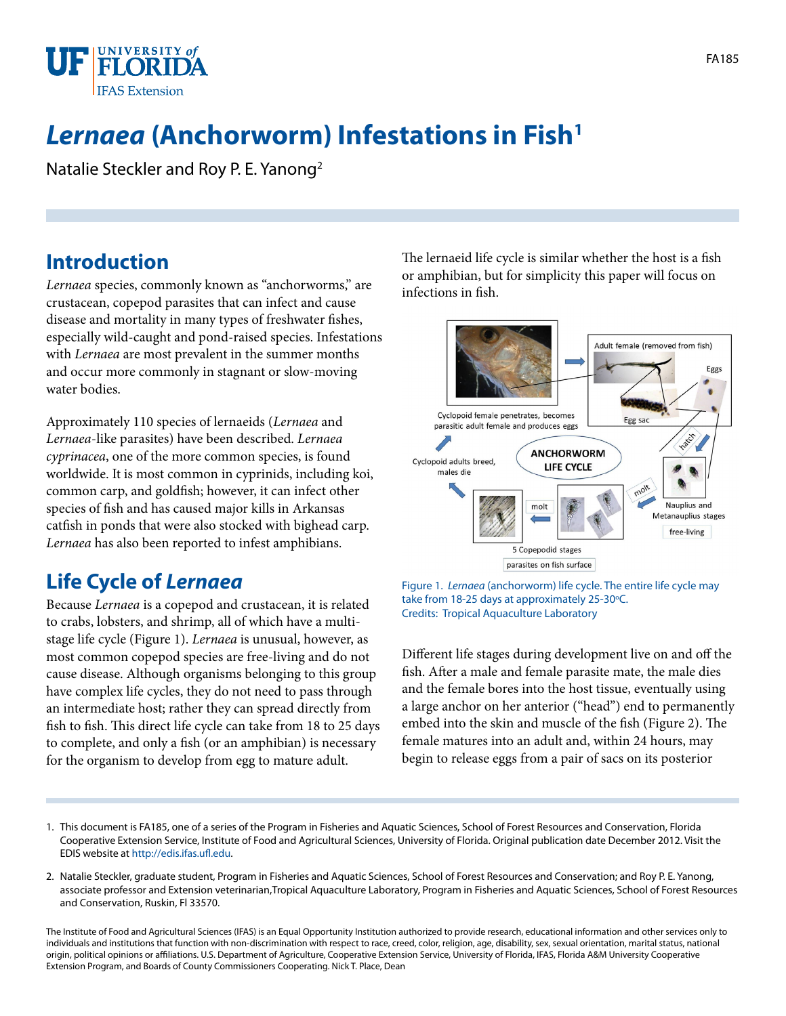

# **Lernaea** (Anchorworm) Infestations in Fish<sup>1</sup>

Natalie Steckler and Roy P. E. Yanong2

## **Introduction**

*Lernaea* species, commonly known as "anchorworms," are crustacean, copepod parasites that can infect and cause disease and mortality in many types of freshwater fishes, especially wild-caught and pond-raised species. Infestations with *Lernaea* are most prevalent in the summer months and occur more commonly in stagnant or slow-moving water bodies.

Approximately 110 species of lernaeids (*Lernaea* and *Lernaea*-like parasites) have been described. *Lernaea cyprinacea*, one of the more common species, is found worldwide. It is most common in cyprinids, including koi, common carp, and goldfish; however, it can infect other species of fish and has caused major kills in Arkansas catfish in ponds that were also stocked with bighead carp. *Lernaea* has also been reported to infest amphibians.

# **Life Cycle of** *Lernaea*

Because *Lernaea* is a copepod and crustacean, it is related to crabs, lobsters, and shrimp, all of which have a multistage life cycle (Figure 1). *Lernaea* is unusual, however, as most common copepod species are free-living and do not cause disease. Although organisms belonging to this group have complex life cycles, they do not need to pass through an intermediate host; rather they can spread directly from fish to fish. This direct life cycle can take from 18 to 25 days to complete, and only a fish (or an amphibian) is necessary for the organism to develop from egg to mature adult.

The lernaeid life cycle is similar whether the host is a fish or amphibian, but for simplicity this paper will focus on infections in fish.



Figure 1. *Lernaea* (anchorworm) life cycle. The entire life cycle may take from 18-25 days at approximately 25-30°C. Credits: Tropical Aquaculture Laboratory

Different life stages during development live on and off the fish. After a male and female parasite mate, the male dies and the female bores into the host tissue, eventually using a large anchor on her anterior ("head") end to permanently embed into the skin and muscle of the fish (Figure 2). The female matures into an adult and, within 24 hours, may begin to release eggs from a pair of sacs on its posterior

- 1. This document is FA185, one of a series of the Program in Fisheries and Aquatic Sciences, School of Forest Resources and Conservation, Florida Cooperative Extension Service, Institute of Food and Agricultural Sciences, University of Florida. Original publication date December 2012. Visit the EDIS website at [http://edis.ifas.ufl.edu.](http://edis.ifas.ufl.edu)
- 2. Natalie Steckler, graduate student, Program in Fisheries and Aquatic Sciences, School of Forest Resources and Conservation; and Roy P. E. Yanong, associate professor and Extension veterinarian,Tropical Aquaculture Laboratory, Program in Fisheries and Aquatic Sciences, School of Forest Resources and Conservation, Ruskin, Fl 33570.

The Institute of Food and Agricultural Sciences (IFAS) is an Equal Opportunity Institution authorized to provide research, educational information and other services only to individuals and institutions that function with non-discrimination with respect to race, creed, color, religion, age, disability, sex, sexual orientation, marital status, national origin, political opinions or affiliations. U.S. Department of Agriculture, Cooperative Extension Service, University of Florida, IFAS, Florida A&M University Cooperative Extension Program, and Boards of County Commissioners Cooperating. Nick T. Place, Dean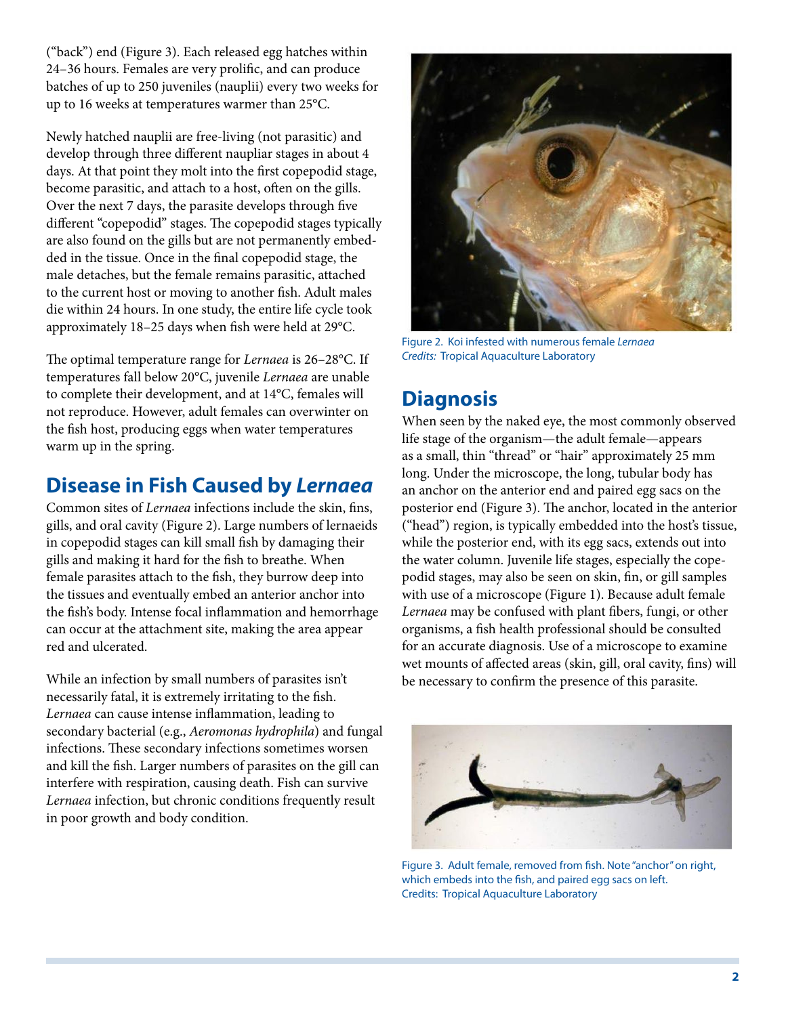("back") end (Figure 3). Each released egg hatches within 24–36 hours. Females are very prolific, and can produce batches of up to 250 juveniles (nauplii) every two weeks for up to 16 weeks at temperatures warmer than 25°C.

Newly hatched nauplii are free-living (not parasitic) and develop through three different naupliar stages in about 4 days. At that point they molt into the first copepodid stage, become parasitic, and attach to a host, often on the gills. Over the next 7 days, the parasite develops through five different "copepodid" stages. The copepodid stages typically are also found on the gills but are not permanently embedded in the tissue. Once in the final copepodid stage, the male detaches, but the female remains parasitic, attached to the current host or moving to another fish. Adult males die within 24 hours. In one study, the entire life cycle took approximately 18–25 days when fish were held at 29°C.

The optimal temperature range for *Lernaea* is 26–28°C. If temperatures fall below 20°C, juvenile *Lernaea* are unable to complete their development, and at 14°C, females will not reproduce. However, adult females can overwinter on the fish host, producing eggs when water temperatures warm up in the spring.

# **Disease in Fish Caused by** *Lernaea*

Common sites of *Lernaea* infections include the skin, fins, gills, and oral cavity (Figure 2). Large numbers of lernaeids in copepodid stages can kill small fish by damaging their gills and making it hard for the fish to breathe. When female parasites attach to the fish, they burrow deep into the tissues and eventually embed an anterior anchor into the fish's body. Intense focal inflammation and hemorrhage can occur at the attachment site, making the area appear red and ulcerated.

While an infection by small numbers of parasites isn't necessarily fatal, it is extremely irritating to the fish. *Lernaea* can cause intense inflammation, leading to secondary bacterial (e.g., *Aeromonas hydrophila*) and fungal infections. These secondary infections sometimes worsen and kill the fish. Larger numbers of parasites on the gill can interfere with respiration, causing death. Fish can survive *Lernaea* infection, but chronic conditions frequently result in poor growth and body condition.



Figure 2. Koi infested with numerous female *Lernaea Credits:* Tropical Aquaculture Laboratory

# **Diagnosis**

When seen by the naked eye, the most commonly observed life stage of the organism—the adult female—appears as a small, thin "thread" or "hair" approximately 25 mm long. Under the microscope, the long, tubular body has an anchor on the anterior end and paired egg sacs on the posterior end (Figure 3). The anchor, located in the anterior ("head") region, is typically embedded into the host's tissue, while the posterior end, with its egg sacs, extends out into the water column. Juvenile life stages, especially the copepodid stages, may also be seen on skin, fin, or gill samples with use of a microscope (Figure 1). Because adult female *Lernaea* may be confused with plant fibers, fungi, or other organisms, a fish health professional should be consulted for an accurate diagnosis. Use of a microscope to examine wet mounts of affected areas (skin, gill, oral cavity, fins) will be necessary to confirm the presence of this parasite.



Figure 3. Adult female, removed from fish. Note "anchor" on right, which embeds into the fish, and paired egg sacs on left. Credits: Tropical Aquaculture Laboratory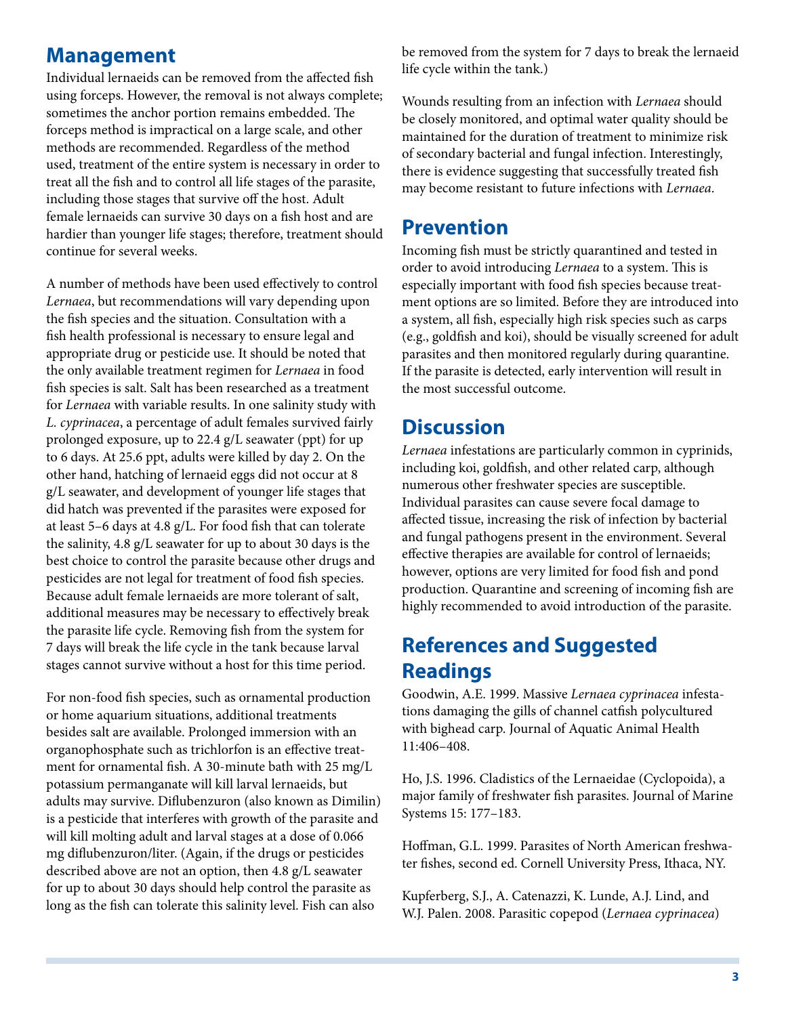## **Management**

Individual lernaeids can be removed from the affected fish using forceps. However, the removal is not always complete; sometimes the anchor portion remains embedded. The forceps method is impractical on a large scale, and other methods are recommended. Regardless of the method used, treatment of the entire system is necessary in order to treat all the fish and to control all life stages of the parasite, including those stages that survive off the host. Adult female lernaeids can survive 30 days on a fish host and are hardier than younger life stages; therefore, treatment should continue for several weeks.

A number of methods have been used effectively to control *Lernaea*, but recommendations will vary depending upon the fish species and the situation. Consultation with a fish health professional is necessary to ensure legal and appropriate drug or pesticide use. It should be noted that the only available treatment regimen for *Lernaea* in food fish species is salt. Salt has been researched as a treatment for *Lernaea* with variable results. In one salinity study with *L. cyprinacea*, a percentage of adult females survived fairly prolonged exposure, up to 22.4 g/L seawater (ppt) for up to 6 days. At 25.6 ppt, adults were killed by day 2. On the other hand, hatching of lernaeid eggs did not occur at 8 g/L seawater, and development of younger life stages that did hatch was prevented if the parasites were exposed for at least 5–6 days at 4.8 g/L. For food fish that can tolerate the salinity, 4.8 g/L seawater for up to about 30 days is the best choice to control the parasite because other drugs and pesticides are not legal for treatment of food fish species. Because adult female lernaeids are more tolerant of salt, additional measures may be necessary to effectively break the parasite life cycle. Removing fish from the system for 7 days will break the life cycle in the tank because larval stages cannot survive without a host for this time period.

For non-food fish species, such as ornamental production or home aquarium situations, additional treatments besides salt are available. Prolonged immersion with an organophosphate such as trichlorfon is an effective treatment for ornamental fish. A 30-minute bath with 25 mg/L potassium permanganate will kill larval lernaeids, but adults may survive. Diflubenzuron (also known as Dimilin) is a pesticide that interferes with growth of the parasite and will kill molting adult and larval stages at a dose of 0.066 mg diflubenzuron/liter. (Again, if the drugs or pesticides described above are not an option, then 4.8 g/L seawater for up to about 30 days should help control the parasite as long as the fish can tolerate this salinity level. Fish can also

be removed from the system for 7 days to break the lernaeid life cycle within the tank.)

Wounds resulting from an infection with *Lernaea* should be closely monitored, and optimal water quality should be maintained for the duration of treatment to minimize risk of secondary bacterial and fungal infection. Interestingly, there is evidence suggesting that successfully treated fish may become resistant to future infections with *Lernaea*.

#### **Prevention**

Incoming fish must be strictly quarantined and tested in order to avoid introducing *Lernaea* to a system. This is especially important with food fish species because treatment options are so limited. Before they are introduced into a system, all fish, especially high risk species such as carps (e.g., goldfish and koi), should be visually screened for adult parasites and then monitored regularly during quarantine. If the parasite is detected, early intervention will result in the most successful outcome.

## **Discussion**

*Lernaea* infestations are particularly common in cyprinids, including koi, goldfish, and other related carp, although numerous other freshwater species are susceptible. Individual parasites can cause severe focal damage to affected tissue, increasing the risk of infection by bacterial and fungal pathogens present in the environment. Several effective therapies are available for control of lernaeids; however, options are very limited for food fish and pond production. Quarantine and screening of incoming fish are highly recommended to avoid introduction of the parasite.

## **References and Suggested Readings**

Goodwin, A.E. 1999. Massive *Lernaea cyprinacea* infestations damaging the gills of channel catfish polycultured with bighead carp. Journal of Aquatic Animal Health 11:406–408.

Ho, J.S. 1996. Cladistics of the Lernaeidae (Cyclopoida), a major family of freshwater fish parasites. Journal of Marine Systems 15: 177–183.

Hoffman, G.L. 1999. Parasites of North American freshwater fishes, second ed. Cornell University Press, Ithaca, NY.

Kupferberg, S.J., A. Catenazzi, K. Lunde, A.J. Lind, and W.J. Palen. 2008. Parasitic copepod (*Lernaea cyprinacea*)